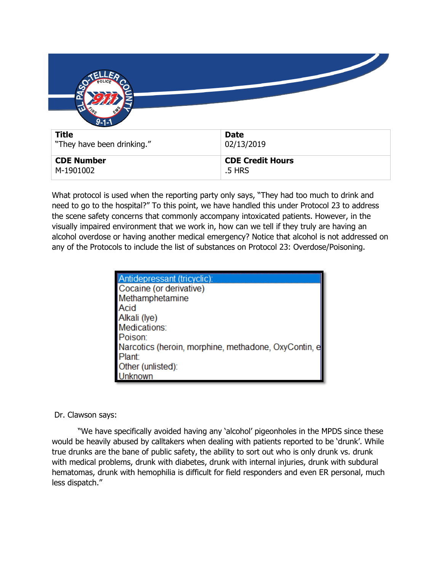| $9 - 1 - 1$                                |                           |
|--------------------------------------------|---------------------------|
| <b>Title</b><br>"They have been drinking." | <b>Date</b><br>02/13/2019 |
| <b>CDE Number</b>                          | <b>CDE Credit Hours</b>   |

What protocol is used when the reporting party only says, "They had too much to drink and need to go to the hospital?" To this point, we have handled this under Protocol 23 to address the scene safety concerns that commonly accompany intoxicated patients. However, in the visually impaired environment that we work in, how can we tell if they truly are having an alcohol overdose or having another medical emergency? Notice that alcohol is not addressed on any of the Protocols to include the list of substances on Protocol 23: Overdose/Poisoning.

.5 HRS

| Antidepressant (tricyclic):                          |
|------------------------------------------------------|
| Cocaine (or derivative)                              |
| Methamphetamine                                      |
| <b>Acid</b>                                          |
| Alkali (lye)                                         |
| Medications:                                         |
| Poison:                                              |
| Narcotics (heroin, morphine, methadone, OxyContin, e |
| <b>Plant:</b>                                        |
| Other (unlisted):                                    |
| <b>I</b> Inknown                                     |

## Dr. Clawson says:

M-1901002

"We have specifically avoided having any 'alcohol' pigeonholes in the MPDS since these would be heavily abused by calltakers when dealing with patients reported to be 'drunk'. While true drunks are the bane of public safety, the ability to sort out who is only drunk vs. drunk with medical problems, drunk with diabetes, drunk with internal injuries, drunk with subdural hematomas, drunk with hemophilia is difficult for field responders and even ER personal, much less dispatch."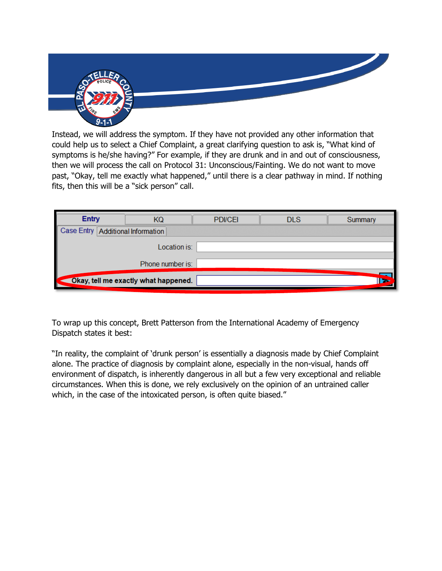

Instead, we will address the symptom. If they have not provided any other information that could help us to select a Chief Complaint, a great clarifying question to ask is, "What kind of symptoms is he/she having?" For example, if they are drunk and in and out of consciousness, then we will process the call on Protocol 31: Unconscious/Fainting. We do not want to move past, "Okay, tell me exactly what happened," until there is a clear pathway in mind. If nothing fits, then this will be a "sick person" call.

| <b>Entry</b>                        |                                      | <b>PDI/CEI</b> | DI S | Summary |
|-------------------------------------|--------------------------------------|----------------|------|---------|
| Case Entry   Additional Information |                                      |                |      |         |
|                                     | Location is:                         |                |      |         |
|                                     | Phone number is:                     |                |      |         |
|                                     | Okay, tell me exactly what happened. |                |      |         |

To wrap up this concept, Brett Patterson from the International Academy of Emergency Dispatch states it best:

"In reality, the complaint of 'drunk person' is essentially a diagnosis made by Chief Complaint alone. The practice of diagnosis by complaint alone, especially in the non-visual, hands off environment of dispatch, is inherently dangerous in all but a few very exceptional and reliable circumstances. When this is done, we rely exclusively on the opinion of an untrained caller which, in the case of the intoxicated person, is often quite biased."